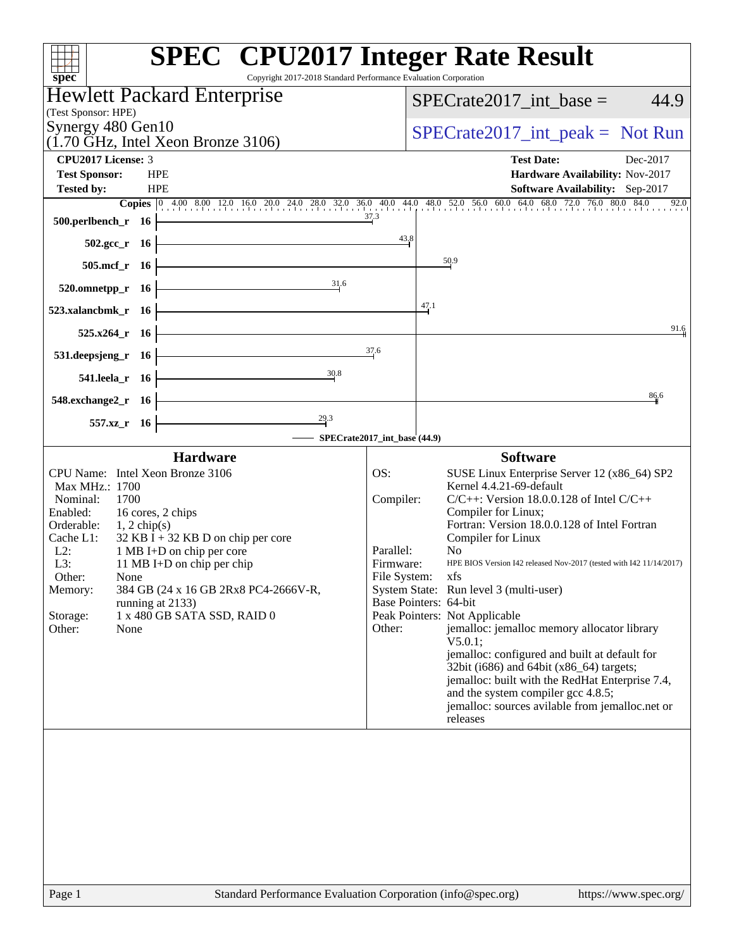| Copyright 2017-2018 Standard Performance Evaluation Corporation<br>$spec^*$            | <b>SPEC<sup>®</sup></b> CPU2017 Integer Rate Result                                                                                                          |
|----------------------------------------------------------------------------------------|--------------------------------------------------------------------------------------------------------------------------------------------------------------|
| <b>Hewlett Packard Enterprise</b>                                                      | $SPECrate2017\_int\_base =$<br>44.9                                                                                                                          |
| (Test Sponsor: HPE)                                                                    |                                                                                                                                                              |
| Synergy 480 Gen10<br>$(1.70 \text{ GHz}, \text{Intel Xeon Bronze } 3106)$              | $SPECrate2017\_int\_peak = Not Run$                                                                                                                          |
| <b>CPU2017 License: 3</b>                                                              | <b>Test Date:</b><br>Dec-2017                                                                                                                                |
| <b>Test Sponsor:</b><br><b>HPE</b>                                                     | Hardware Availability: Nov-2017                                                                                                                              |
| <b>HPE</b><br><b>Tested by:</b>                                                        | Software Availability: Sep-2017<br>Copies 0 4.00 8.00 12.0 16.0 20.0 24.0 28.0 32.0 36.0 40.0 44.0 48.0 52.0 56.0 60.0 64.0 68.0 72.0 76.0 80.0 84.0<br>92.0 |
| 500.perlbench_r 16                                                                     | 37.3                                                                                                                                                         |
| $502.\text{gcc}_r$ 16                                                                  | 43.8                                                                                                                                                         |
| 505.mcf_r 16                                                                           | 50.9                                                                                                                                                         |
| 31.6<br>520.omnetpp_r 16                                                               |                                                                                                                                                              |
| 523.xalancbmk_r 16                                                                     | 47.1                                                                                                                                                         |
| $525.x264$ r 16                                                                        | 91.6                                                                                                                                                         |
| 531.deepsjeng_r 16                                                                     | 37.6                                                                                                                                                         |
| 30.8<br>541.leela_r 16                                                                 |                                                                                                                                                              |
| 548.exchange2_r 16                                                                     | 86,6                                                                                                                                                         |
| 29.3<br>557.xz_r 16                                                                    |                                                                                                                                                              |
|                                                                                        | SPECrate2017_int_base (44.9)                                                                                                                                 |
| <b>Hardware</b>                                                                        | <b>Software</b>                                                                                                                                              |
| CPU Name: Intel Xeon Bronze 3106                                                       | OS:<br>SUSE Linux Enterprise Server 12 (x86_64) SP2<br>Kernel 4.4.21-69-default                                                                              |
| Max MHz.: 1700<br>Nominal:<br>1700                                                     | Compiler:<br>$C/C++$ : Version 18.0.0.128 of Intel $C/C++$                                                                                                   |
| Enabled:<br>16 cores, 2 chips                                                          | Compiler for Linux;                                                                                                                                          |
| Orderable:<br>$1, 2$ chip(s)                                                           | Fortran: Version 18.0.0.128 of Intel Fortran                                                                                                                 |
| 32 KB I + 32 KB D on chip per core<br>Cache L1:<br>$L2$ :<br>1 MB I+D on chip per core | Compiler for Linux<br>Parallel:<br>N <sub>0</sub>                                                                                                            |
| L3:<br>11 MB I+D on chip per chip                                                      | HPE BIOS Version I42 released Nov-2017 (tested with I42 11/14/2017)<br>Firmware:                                                                             |
| Other:<br>None                                                                         | File System: xfs                                                                                                                                             |
| 384 GB (24 x 16 GB 2Rx8 PC4-2666V-R,<br>Memory:                                        | System State: Run level 3 (multi-user)<br>Base Pointers: 64-bit                                                                                              |
| running at 2133)<br>1 x 480 GB SATA SSD, RAID 0<br>Storage:                            | Peak Pointers: Not Applicable                                                                                                                                |
| Other:<br>None                                                                         | jemalloc: jemalloc memory allocator library<br>Other:                                                                                                        |
|                                                                                        | $V5.0.1$ ;                                                                                                                                                   |
|                                                                                        | jemalloc: configured and built at default for                                                                                                                |
|                                                                                        | 32bit (i686) and 64bit (x86_64) targets;<br>jemalloc: built with the RedHat Enterprise 7.4,                                                                  |
|                                                                                        | and the system compiler gcc 4.8.5;                                                                                                                           |
|                                                                                        | jemalloc: sources avilable from jemalloc.net or                                                                                                              |
|                                                                                        | releases                                                                                                                                                     |
|                                                                                        |                                                                                                                                                              |
|                                                                                        |                                                                                                                                                              |
|                                                                                        |                                                                                                                                                              |
|                                                                                        |                                                                                                                                                              |
|                                                                                        |                                                                                                                                                              |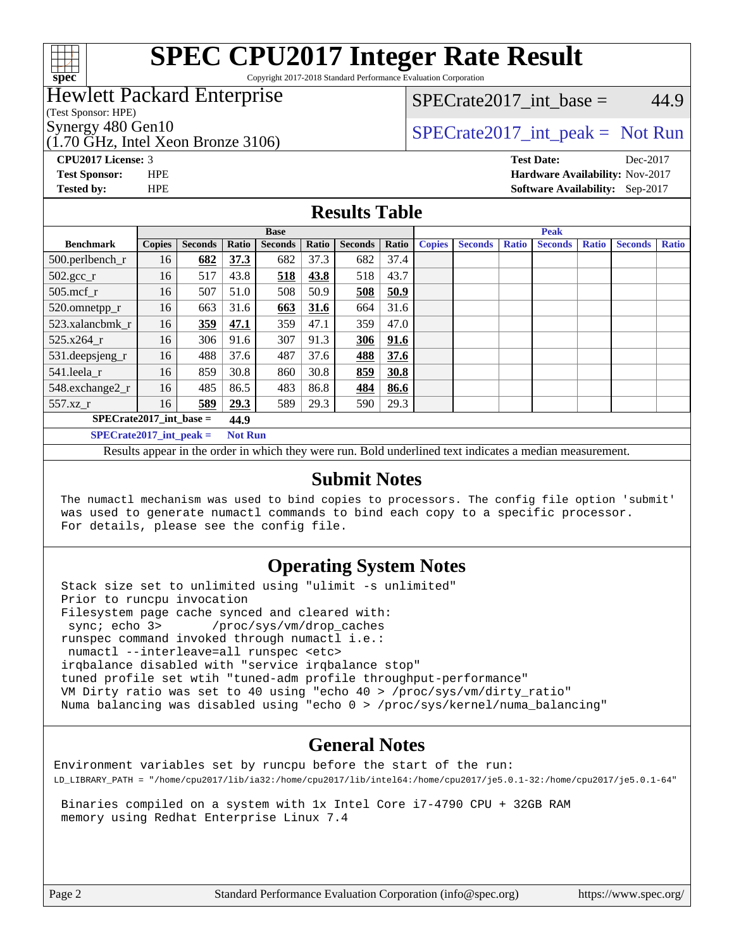

# **[SPEC CPU2017 Integer Rate Result](http://www.spec.org/auto/cpu2017/Docs/result-fields.html#SPECCPU2017IntegerRateResult)**

Copyright 2017-2018 Standard Performance Evaluation Corporation

### Hewlett Packard Enterprise

(Test Sponsor: HPE)

(1.70 GHz, Intel Xeon Bronze 3106)

SPECrate2017 int\_base =  $44.9$ 

# Synergy 480 Gen10  $S^{perg}$   $S^{perg}$   $S^{perg}$   $S^{perg}$   $S^{per}$   $S^{per}$   $S^{per}$   $S^{per}$   $S^{per}$   $S^{per}$   $S^{per}$   $S^{per}$   $S^{per}$   $S^{per}$   $S^{per}$   $S^{per}$   $S^{per}$   $S^{per}$   $S^{per}$   $S^{per}$   $S^{per}$   $S^{per}$   $S^{per}$   $S^{per}$   $S^{per}$   $S^{per}$   $S^{per}$   $S^{per}$   $S^{$

**[CPU2017 License:](http://www.spec.org/auto/cpu2017/Docs/result-fields.html#CPU2017License)** 3 **[Test Date:](http://www.spec.org/auto/cpu2017/Docs/result-fields.html#TestDate)** Dec-2017 **[Test Sponsor:](http://www.spec.org/auto/cpu2017/Docs/result-fields.html#TestSponsor)** HPE **[Hardware Availability:](http://www.spec.org/auto/cpu2017/Docs/result-fields.html#HardwareAvailability)** Nov-2017

**[Tested by:](http://www.spec.org/auto/cpu2017/Docs/result-fields.html#Testedby)** HPE **[Software Availability:](http://www.spec.org/auto/cpu2017/Docs/result-fields.html#SoftwareAvailability)** Sep-2017

#### **[Results Table](http://www.spec.org/auto/cpu2017/Docs/result-fields.html#ResultsTable)**

|                                             | <b>Base</b>   |                |       |                | <b>Peak</b> |                |       |               |                |              |                |              |                |              |
|---------------------------------------------|---------------|----------------|-------|----------------|-------------|----------------|-------|---------------|----------------|--------------|----------------|--------------|----------------|--------------|
| <b>Benchmark</b>                            | <b>Copies</b> | <b>Seconds</b> | Ratio | <b>Seconds</b> | Ratio       | <b>Seconds</b> | Ratio | <b>Copies</b> | <b>Seconds</b> | <b>Ratio</b> | <b>Seconds</b> | <b>Ratio</b> | <b>Seconds</b> | <b>Ratio</b> |
| 500.perlbench_r                             | 16            | 682            | 37.3  | 682            | 37.3        | 682            | 37.4  |               |                |              |                |              |                |              |
| $502.\text{gcc}_r$                          | 16            | 517            | 43.8  | 518            | 43.8        | 518            | 43.7  |               |                |              |                |              |                |              |
| $505$ .mcf r                                | 16            | 507            | 51.0  | 508            | 50.9        | 508            | 50.9  |               |                |              |                |              |                |              |
| 520.omnetpp_r                               | 16            | 663            | 31.6  | 663            | 31.6        | 664            | 31.6  |               |                |              |                |              |                |              |
| 523.xalancbmk_r                             | 16            | 359            | 47.1  | 359            | 47.1        | 359            | 47.0  |               |                |              |                |              |                |              |
| 525.x264 r                                  | 16            | 306            | 91.6  | 307            | 91.3        | 306            | 91.6  |               |                |              |                |              |                |              |
| 531.deepsjeng_r                             | 16            | 488            | 37.6  | 487            | 37.6        | 488            | 37.6  |               |                |              |                |              |                |              |
| 541.leela r                                 | 16            | 859            | 30.8  | 860            | 30.8        | 859            | 30.8  |               |                |              |                |              |                |              |
| 548.exchange2_r                             | 16            | 485            | 86.5  | 483            | 86.8        | 484            | 86.6  |               |                |              |                |              |                |              |
| 557.xz r                                    | 16            | 589            | 29.3  | 589            | 29.3        | 590            | 29.3  |               |                |              |                |              |                |              |
| $SPECrate2017$ int base =<br>44.9           |               |                |       |                |             |                |       |               |                |              |                |              |                |              |
| $SPECrate2017$ int peak =<br><b>Not Run</b> |               |                |       |                |             |                |       |               |                |              |                |              |                |              |

Results appear in the [order in which they were run](http://www.spec.org/auto/cpu2017/Docs/result-fields.html#RunOrder). Bold underlined text [indicates a median measurement](http://www.spec.org/auto/cpu2017/Docs/result-fields.html#Median).

#### **[Submit Notes](http://www.spec.org/auto/cpu2017/Docs/result-fields.html#SubmitNotes)**

 The numactl mechanism was used to bind copies to processors. The config file option 'submit' was used to generate numactl commands to bind each copy to a specific processor. For details, please see the config file.

#### **[Operating System Notes](http://www.spec.org/auto/cpu2017/Docs/result-fields.html#OperatingSystemNotes)**

 Stack size set to unlimited using "ulimit -s unlimited" Prior to runcpu invocation Filesystem page cache synced and cleared with: sync; echo 3> /proc/sys/vm/drop\_caches runspec command invoked through numactl i.e.: numactl --interleave=all runspec <etc> irqbalance disabled with "service irqbalance stop" tuned profile set wtih "tuned-adm profile throughput-performance" VM Dirty ratio was set to 40 using "echo 40 > /proc/sys/vm/dirty\_ratio" Numa balancing was disabled using "echo 0 > /proc/sys/kernel/numa\_balancing"

#### **[General Notes](http://www.spec.org/auto/cpu2017/Docs/result-fields.html#GeneralNotes)**

Environment variables set by runcpu before the start of the run: LD\_LIBRARY\_PATH = "/home/cpu2017/lib/ia32:/home/cpu2017/lib/intel64:/home/cpu2017/je5.0.1-32:/home/cpu2017/je5.0.1-64"

 Binaries compiled on a system with 1x Intel Core i7-4790 CPU + 32GB RAM memory using Redhat Enterprise Linux 7.4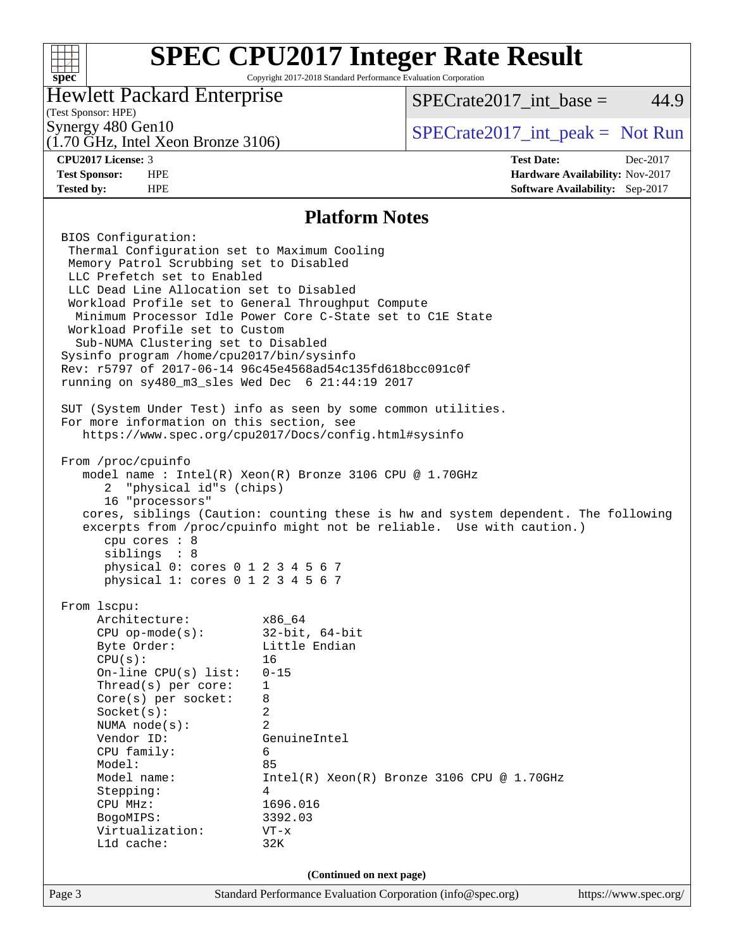#### **[SPEC CPU2017 Integer Rate Result](http://www.spec.org/auto/cpu2017/Docs/result-fields.html#SPECCPU2017IntegerRateResult)**  $+\!\!+\!\!$ Copyright 2017-2018 Standard Performance Evaluation Corporation **[spec](http://www.spec.org/)** Hewlett Packard Enterprise  $SPECTate2017\_int\_base = 44.9$ (Test Sponsor: HPE) Synergy 480 Gen10  $SPECrate2017$ \_int\_peak = Not Run (1.70 GHz, Intel Xeon Bronze 3106) **[CPU2017 License:](http://www.spec.org/auto/cpu2017/Docs/result-fields.html#CPU2017License)** 3 **[Test Date:](http://www.spec.org/auto/cpu2017/Docs/result-fields.html#TestDate)** Dec-2017 **[Test Sponsor:](http://www.spec.org/auto/cpu2017/Docs/result-fields.html#TestSponsor)** HPE **[Hardware Availability:](http://www.spec.org/auto/cpu2017/Docs/result-fields.html#HardwareAvailability)** Nov-2017 **[Tested by:](http://www.spec.org/auto/cpu2017/Docs/result-fields.html#Testedby)** HPE **[Software Availability:](http://www.spec.org/auto/cpu2017/Docs/result-fields.html#SoftwareAvailability)** Sep-2017 **[Platform Notes](http://www.spec.org/auto/cpu2017/Docs/result-fields.html#PlatformNotes)** BIOS Configuration: Thermal Configuration set to Maximum Cooling Memory Patrol Scrubbing set to Disabled LLC Prefetch set to Enabled LLC Dead Line Allocation set to Disabled Workload Profile set to General Throughput Compute Minimum Processor Idle Power Core C-State set to C1E State Workload Profile set to Custom Sub-NUMA Clustering set to Disabled Sysinfo program /home/cpu2017/bin/sysinfo Rev: r5797 of 2017-06-14 96c45e4568ad54c135fd618bcc091c0f running on sy480\_m3\_sles Wed Dec 6 21:44:19 2017 SUT (System Under Test) info as seen by some common utilities. For more information on this section, see <https://www.spec.org/cpu2017/Docs/config.html#sysinfo> From /proc/cpuinfo model name : Intel(R) Xeon(R) Bronze 3106 CPU @ 1.70GHz 2 "physical id"s (chips) 16 "processors" cores, siblings (Caution: counting these is hw and system dependent. The following excerpts from /proc/cpuinfo might not be reliable. Use with caution.) cpu cores : 8 siblings : 8 physical 0: cores 0 1 2 3 4 5 6 7 physical 1: cores 0 1 2 3 4 5 6 7 From lscpu: Architecture: x86\_64 CPU op-mode(s): 32-bit, 64-bit Byte Order: Little Endian CPU(s): 16 On-line CPU(s) list: 0-15 Thread(s) per core: 1 Core(s) per socket: 8 Socket(s): 2 NUMA node(s): 2 Vendor ID: GenuineIntel CPU family: 6 Model: 85 Model name: Intel(R) Xeon(R) Bronze 3106 CPU @ 1.70GHz Stepping: 4 CPU MHz: 1696.016 BogoMIPS: 3392.03 Virtualization: VT-x L1d cache: 32K **(Continued on next page)**Page 3 Standard Performance Evaluation Corporation [\(info@spec.org\)](mailto:info@spec.org) <https://www.spec.org/>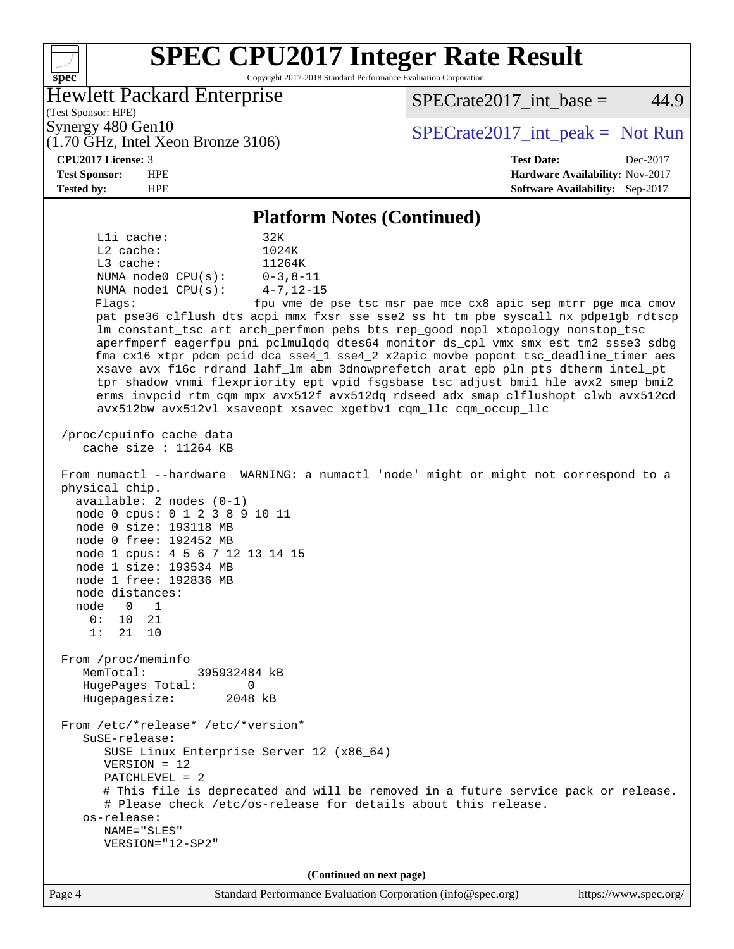#### **[SPEC CPU2017 Integer Rate Result](http://www.spec.org/auto/cpu2017/Docs/result-fields.html#SPECCPU2017IntegerRateResult)**  $+\!\!+\!\!$ Copyright 2017-2018 Standard Performance Evaluation Corporation **[spec](http://www.spec.org/)** Hewlett Packard Enterprise  $SPECTate2017\_int\_base = 44.9$ (Test Sponsor: HPE) Synergy 480 Gen10  $S^{perg}$   $S^{perg}$   $S^{perg}$   $S^{perg}$   $S^{per}$   $S^{per}$   $S^{per}$   $S^{per}$   $S^{per}$   $S^{per}$   $S^{per}$   $S^{per}$   $S^{per}$   $S^{per}$   $S^{per}$   $S^{per}$   $S^{per}$   $S^{per}$   $S^{per}$   $S^{per}$   $S^{per}$   $S^{per}$   $S^{per}$   $S^{per}$   $S^{per}$   $S^{per}$   $S^{per}$   $S^{per}$   $S^{$ (1.70 GHz, Intel Xeon Bronze 3106) **[CPU2017 License:](http://www.spec.org/auto/cpu2017/Docs/result-fields.html#CPU2017License)** 3 **[Test Date:](http://www.spec.org/auto/cpu2017/Docs/result-fields.html#TestDate)** Dec-2017 **[Test Sponsor:](http://www.spec.org/auto/cpu2017/Docs/result-fields.html#TestSponsor)** HPE **[Hardware Availability:](http://www.spec.org/auto/cpu2017/Docs/result-fields.html#HardwareAvailability)** Nov-2017 **[Tested by:](http://www.spec.org/auto/cpu2017/Docs/result-fields.html#Testedby)** HPE **[Software Availability:](http://www.spec.org/auto/cpu2017/Docs/result-fields.html#SoftwareAvailability)** Sep-2017 **[Platform Notes \(Continued\)](http://www.spec.org/auto/cpu2017/Docs/result-fields.html#PlatformNotes)** L1i cache: 32K L2 cache: 1024K<br>
L3 cache: 11264K  $L3$  cache: NUMA node0 CPU(s): 0-3,8-11 NUMA node1 CPU(s): 4-7,12-15 Flags: fpu vme de pse tsc msr pae mce cx8 apic sep mtrr pge mca cmov pat pse36 clflush dts acpi mmx fxsr sse sse2 ss ht tm pbe syscall nx pdpe1gb rdtscp lm constant\_tsc art arch\_perfmon pebs bts rep\_good nopl xtopology nonstop\_tsc aperfmperf eagerfpu pni pclmulqdq dtes64 monitor ds\_cpl vmx smx est tm2 ssse3 sdbg fma cx16 xtpr pdcm pcid dca sse4\_1 sse4\_2 x2apic movbe popcnt tsc\_deadline\_timer aes xsave avx f16c rdrand lahf\_lm abm 3dnowprefetch arat epb pln pts dtherm intel\_pt tpr\_shadow vnmi flexpriority ept vpid fsgsbase tsc\_adjust bmi1 hle avx2 smep bmi2 erms invpcid rtm cqm mpx avx512f avx512dq rdseed adx smap clflushopt clwb avx512cd avx512bw avx512vl xsaveopt xsavec xgetbv1 cqm\_llc cqm\_occup\_llc /proc/cpuinfo cache data cache size : 11264 KB From numactl --hardware WARNING: a numactl 'node' might or might not correspond to a physical chip. available: 2 nodes (0-1) node 0 cpus: 0 1 2 3 8 9 10 11 node 0 size: 193118 MB node 0 free: 192452 MB node 1 cpus: 4 5 6 7 12 13 14 15 node 1 size: 193534 MB node 1 free: 192836 MB node distances: node 0 1 0: 10 21 1: 21 10 From /proc/meminfo MemTotal: 395932484 kB HugePages\_Total: 0 Hugepagesize: 2048 kB From /etc/\*release\* /etc/\*version\* SuSE-release: SUSE Linux Enterprise Server 12 (x86\_64) VERSION = 12 PATCHLEVEL = 2 # This file is deprecated and will be removed in a future service pack or release. # Please check /etc/os-release for details about this release. os-release: NAME="SLES" VERSION="12-SP2" **(Continued on next page)**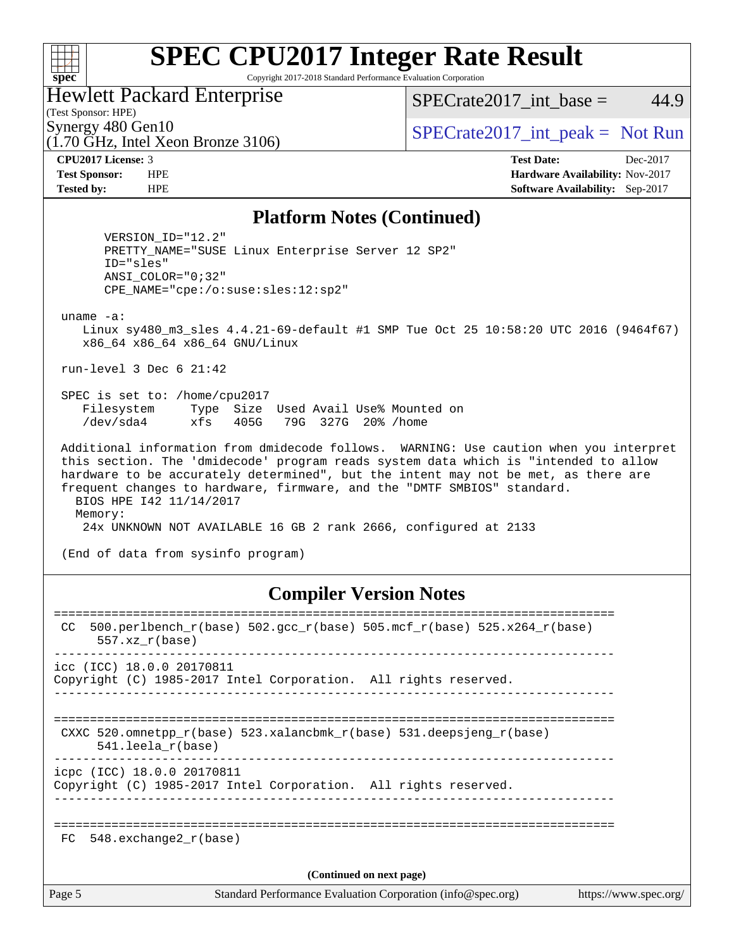#### $+\ +$ **[spec](http://www.spec.org/)**

# **[SPEC CPU2017 Integer Rate Result](http://www.spec.org/auto/cpu2017/Docs/result-fields.html#SPECCPU2017IntegerRateResult)**

Copyright 2017-2018 Standard Performance Evaluation Corporation

#### Hewlett Packard Enterprise

 $SPECTate2017\_int\_base = 44.9$ 

### (Test Sponsor: HPE)

(1.70 GHz, Intel Xeon Bronze 3106)

Synergy 480 Gen10  $SPECrate2017$ \_int\_peak = Not Run

**[CPU2017 License:](http://www.spec.org/auto/cpu2017/Docs/result-fields.html#CPU2017License)** 3 **[Test Date:](http://www.spec.org/auto/cpu2017/Docs/result-fields.html#TestDate)** Dec-2017 **[Test Sponsor:](http://www.spec.org/auto/cpu2017/Docs/result-fields.html#TestSponsor)** HPE **[Hardware Availability:](http://www.spec.org/auto/cpu2017/Docs/result-fields.html#HardwareAvailability)** Nov-2017 **[Tested by:](http://www.spec.org/auto/cpu2017/Docs/result-fields.html#Testedby)** HPE **[Software Availability:](http://www.spec.org/auto/cpu2017/Docs/result-fields.html#SoftwareAvailability)** Sep-2017

#### **[Platform Notes \(Continued\)](http://www.spec.org/auto/cpu2017/Docs/result-fields.html#PlatformNotes)**

 VERSION\_ID="12.2" PRETTY\_NAME="SUSE Linux Enterprise Server 12 SP2" ID="sles" ANSI\_COLOR="0;32" CPE\_NAME="cpe:/o:suse:sles:12:sp2"

uname -a:

 Linux sy480\_m3\_sles 4.4.21-69-default #1 SMP Tue Oct 25 10:58:20 UTC 2016 (9464f67) x86\_64 x86\_64 x86\_64 GNU/Linux

run-level 3 Dec 6 21:42

 SPEC is set to: /home/cpu2017 Filesystem Type Size Used Avail Use% Mounted on /dev/sda4 xfs 405G 79G 327G 20% /home

 Additional information from dmidecode follows. WARNING: Use caution when you interpret this section. The 'dmidecode' program reads system data which is "intended to allow hardware to be accurately determined", but the intent may not be met, as there are frequent changes to hardware, firmware, and the "DMTF SMBIOS" standard. BIOS HPE I42 11/14/2017 Memory: 24x UNKNOWN NOT AVAILABLE 16 GB 2 rank 2666, configured at 2133

(End of data from sysinfo program)

#### **[Compiler Version Notes](http://www.spec.org/auto/cpu2017/Docs/result-fields.html#CompilerVersionNotes)**

| CC.                      | 500.perlbench_r(base) 502.gcc_r(base) 505.mcf_r(base) 525.x264_r(base)<br>$557.xx$ $r(base)$       |  |  |  |  |
|--------------------------|----------------------------------------------------------------------------------------------------|--|--|--|--|
|                          | icc (ICC) 18.0.0 20170811<br>Copyright (C) 1985-2017 Intel Corporation. All rights reserved.       |  |  |  |  |
|                          | CXXC 520.omnetpp $r(base)$ 523.xalancbmk $r(base)$ 531.deepsjeng $r(base)$<br>$541.$ leela r(base) |  |  |  |  |
|                          | icpc (ICC) 18.0.0 20170811<br>Copyright (C) 1985-2017 Intel Corporation. All rights reserved.      |  |  |  |  |
| FC                       | 548.exchange2 r(base)                                                                              |  |  |  |  |
| (Continued on next page) |                                                                                                    |  |  |  |  |
| Page 5                   | Standard Performance Evaluation Corporation (info@spec.org)<br>https://www.spec.org/               |  |  |  |  |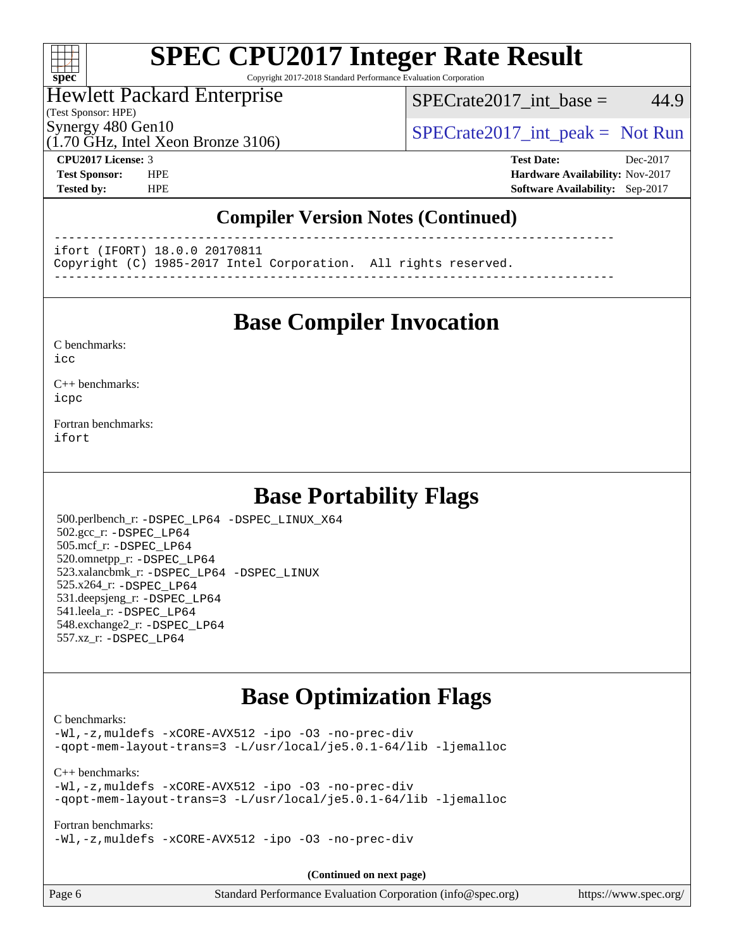#### $+\ +$ **[spec](http://www.spec.org/)**

# **[SPEC CPU2017 Integer Rate Result](http://www.spec.org/auto/cpu2017/Docs/result-fields.html#SPECCPU2017IntegerRateResult)**

Copyright 2017-2018 Standard Performance Evaluation Corporation

#### Hewlett Packard Enterprise

(Test Sponsor: HPE)

 $SPECTate2017\_int\_base = 44.9$ 

(1.70 GHz, Intel Xeon Bronze 3106)

Synergy 480 Gen10  $SPECrate2017$ \_int\_peak = Not Run

**[CPU2017 License:](http://www.spec.org/auto/cpu2017/Docs/result-fields.html#CPU2017License)** 3 **[Test Date:](http://www.spec.org/auto/cpu2017/Docs/result-fields.html#TestDate)** Dec-2017 **[Test Sponsor:](http://www.spec.org/auto/cpu2017/Docs/result-fields.html#TestSponsor)** HPE **[Hardware Availability:](http://www.spec.org/auto/cpu2017/Docs/result-fields.html#HardwareAvailability)** Nov-2017 **[Tested by:](http://www.spec.org/auto/cpu2017/Docs/result-fields.html#Testedby)** HPE **[Software Availability:](http://www.spec.org/auto/cpu2017/Docs/result-fields.html#SoftwareAvailability)** Sep-2017

### **[Compiler Version Notes \(Continued\)](http://www.spec.org/auto/cpu2017/Docs/result-fields.html#CompilerVersionNotes)**

------------------------------------------------------------------------------

ifort (IFORT) 18.0.0 20170811

Copyright (C) 1985-2017 Intel Corporation. All rights reserved.

------------------------------------------------------------------------------

# **[Base Compiler Invocation](http://www.spec.org/auto/cpu2017/Docs/result-fields.html#BaseCompilerInvocation)**

[C benchmarks](http://www.spec.org/auto/cpu2017/Docs/result-fields.html#Cbenchmarks):

[icc](http://www.spec.org/cpu2017/results/res2018q1/cpu2017-20171212-01859.flags.html#user_CCbase_intel_icc_18.0_66fc1ee009f7361af1fbd72ca7dcefbb700085f36577c54f309893dd4ec40d12360134090235512931783d35fd58c0460139e722d5067c5574d8eaf2b3e37e92)

[C++ benchmarks:](http://www.spec.org/auto/cpu2017/Docs/result-fields.html#CXXbenchmarks) [icpc](http://www.spec.org/cpu2017/results/res2018q1/cpu2017-20171212-01859.flags.html#user_CXXbase_intel_icpc_18.0_c510b6838c7f56d33e37e94d029a35b4a7bccf4766a728ee175e80a419847e808290a9b78be685c44ab727ea267ec2f070ec5dc83b407c0218cded6866a35d07)

[Fortran benchmarks](http://www.spec.org/auto/cpu2017/Docs/result-fields.html#Fortranbenchmarks): [ifort](http://www.spec.org/cpu2017/results/res2018q1/cpu2017-20171212-01859.flags.html#user_FCbase_intel_ifort_18.0_8111460550e3ca792625aed983ce982f94888b8b503583aa7ba2b8303487b4d8a21a13e7191a45c5fd58ff318f48f9492884d4413fa793fd88dd292cad7027ca)

# **[Base Portability Flags](http://www.spec.org/auto/cpu2017/Docs/result-fields.html#BasePortabilityFlags)**

 500.perlbench\_r: [-DSPEC\\_LP64](http://www.spec.org/cpu2017/results/res2018q1/cpu2017-20171212-01859.flags.html#b500.perlbench_r_basePORTABILITY_DSPEC_LP64) [-DSPEC\\_LINUX\\_X64](http://www.spec.org/cpu2017/results/res2018q1/cpu2017-20171212-01859.flags.html#b500.perlbench_r_baseCPORTABILITY_DSPEC_LINUX_X64) 502.gcc\_r: [-DSPEC\\_LP64](http://www.spec.org/cpu2017/results/res2018q1/cpu2017-20171212-01859.flags.html#suite_basePORTABILITY502_gcc_r_DSPEC_LP64) 505.mcf\_r: [-DSPEC\\_LP64](http://www.spec.org/cpu2017/results/res2018q1/cpu2017-20171212-01859.flags.html#suite_basePORTABILITY505_mcf_r_DSPEC_LP64) 520.omnetpp\_r: [-DSPEC\\_LP64](http://www.spec.org/cpu2017/results/res2018q1/cpu2017-20171212-01859.flags.html#suite_basePORTABILITY520_omnetpp_r_DSPEC_LP64) 523.xalancbmk\_r: [-DSPEC\\_LP64](http://www.spec.org/cpu2017/results/res2018q1/cpu2017-20171212-01859.flags.html#suite_basePORTABILITY523_xalancbmk_r_DSPEC_LP64) [-DSPEC\\_LINUX](http://www.spec.org/cpu2017/results/res2018q1/cpu2017-20171212-01859.flags.html#b523.xalancbmk_r_baseCXXPORTABILITY_DSPEC_LINUX) 525.x264\_r: [-DSPEC\\_LP64](http://www.spec.org/cpu2017/results/res2018q1/cpu2017-20171212-01859.flags.html#suite_basePORTABILITY525_x264_r_DSPEC_LP64) 531.deepsjeng\_r: [-DSPEC\\_LP64](http://www.spec.org/cpu2017/results/res2018q1/cpu2017-20171212-01859.flags.html#suite_basePORTABILITY531_deepsjeng_r_DSPEC_LP64) 541.leela\_r: [-DSPEC\\_LP64](http://www.spec.org/cpu2017/results/res2018q1/cpu2017-20171212-01859.flags.html#suite_basePORTABILITY541_leela_r_DSPEC_LP64) 548.exchange2\_r: [-DSPEC\\_LP64](http://www.spec.org/cpu2017/results/res2018q1/cpu2017-20171212-01859.flags.html#suite_basePORTABILITY548_exchange2_r_DSPEC_LP64) 557.xz\_r: [-DSPEC\\_LP64](http://www.spec.org/cpu2017/results/res2018q1/cpu2017-20171212-01859.flags.html#suite_basePORTABILITY557_xz_r_DSPEC_LP64)

# **[Base Optimization Flags](http://www.spec.org/auto/cpu2017/Docs/result-fields.html#BaseOptimizationFlags)**

#### [C benchmarks](http://www.spec.org/auto/cpu2017/Docs/result-fields.html#Cbenchmarks):

[-Wl,-z,muldefs](http://www.spec.org/cpu2017/results/res2018q1/cpu2017-20171212-01859.flags.html#user_CCbase_link_force_multiple1_b4cbdb97b34bdee9ceefcfe54f4c8ea74255f0b02a4b23e853cdb0e18eb4525ac79b5a88067c842dd0ee6996c24547a27a4b99331201badda8798ef8a743f577) [-xCORE-AVX512](http://www.spec.org/cpu2017/results/res2018q1/cpu2017-20171212-01859.flags.html#user_CCbase_f-xCORE-AVX512) [-ipo](http://www.spec.org/cpu2017/results/res2018q1/cpu2017-20171212-01859.flags.html#user_CCbase_f-ipo) [-O3](http://www.spec.org/cpu2017/results/res2018q1/cpu2017-20171212-01859.flags.html#user_CCbase_f-O3) [-no-prec-div](http://www.spec.org/cpu2017/results/res2018q1/cpu2017-20171212-01859.flags.html#user_CCbase_f-no-prec-div) [-qopt-mem-layout-trans=3](http://www.spec.org/cpu2017/results/res2018q1/cpu2017-20171212-01859.flags.html#user_CCbase_f-qopt-mem-layout-trans_de80db37974c74b1f0e20d883f0b675c88c3b01e9d123adea9b28688d64333345fb62bc4a798493513fdb68f60282f9a726aa07f478b2f7113531aecce732043) [-L/usr/local/je5.0.1-64/lib](http://www.spec.org/cpu2017/results/res2018q1/cpu2017-20171212-01859.flags.html#user_CCbase_jemalloc_link_path64_4b10a636b7bce113509b17f3bd0d6226c5fb2346b9178c2d0232c14f04ab830f976640479e5c33dc2bcbbdad86ecfb6634cbbd4418746f06f368b512fced5394) [-ljemalloc](http://www.spec.org/cpu2017/results/res2018q1/cpu2017-20171212-01859.flags.html#user_CCbase_jemalloc_link_lib_d1249b907c500fa1c0672f44f562e3d0f79738ae9e3c4a9c376d49f265a04b9c99b167ecedbf6711b3085be911c67ff61f150a17b3472be731631ba4d0471706)

[C++ benchmarks:](http://www.spec.org/auto/cpu2017/Docs/result-fields.html#CXXbenchmarks) [-Wl,-z,muldefs](http://www.spec.org/cpu2017/results/res2018q1/cpu2017-20171212-01859.flags.html#user_CXXbase_link_force_multiple1_b4cbdb97b34bdee9ceefcfe54f4c8ea74255f0b02a4b23e853cdb0e18eb4525ac79b5a88067c842dd0ee6996c24547a27a4b99331201badda8798ef8a743f577) [-xCORE-AVX512](http://www.spec.org/cpu2017/results/res2018q1/cpu2017-20171212-01859.flags.html#user_CXXbase_f-xCORE-AVX512) [-ipo](http://www.spec.org/cpu2017/results/res2018q1/cpu2017-20171212-01859.flags.html#user_CXXbase_f-ipo) [-O3](http://www.spec.org/cpu2017/results/res2018q1/cpu2017-20171212-01859.flags.html#user_CXXbase_f-O3) [-no-prec-div](http://www.spec.org/cpu2017/results/res2018q1/cpu2017-20171212-01859.flags.html#user_CXXbase_f-no-prec-div) [-qopt-mem-layout-trans=3](http://www.spec.org/cpu2017/results/res2018q1/cpu2017-20171212-01859.flags.html#user_CXXbase_f-qopt-mem-layout-trans_de80db37974c74b1f0e20d883f0b675c88c3b01e9d123adea9b28688d64333345fb62bc4a798493513fdb68f60282f9a726aa07f478b2f7113531aecce732043) [-L/usr/local/je5.0.1-64/lib](http://www.spec.org/cpu2017/results/res2018q1/cpu2017-20171212-01859.flags.html#user_CXXbase_jemalloc_link_path64_4b10a636b7bce113509b17f3bd0d6226c5fb2346b9178c2d0232c14f04ab830f976640479e5c33dc2bcbbdad86ecfb6634cbbd4418746f06f368b512fced5394) [-ljemalloc](http://www.spec.org/cpu2017/results/res2018q1/cpu2017-20171212-01859.flags.html#user_CXXbase_jemalloc_link_lib_d1249b907c500fa1c0672f44f562e3d0f79738ae9e3c4a9c376d49f265a04b9c99b167ecedbf6711b3085be911c67ff61f150a17b3472be731631ba4d0471706)

[Fortran benchmarks](http://www.spec.org/auto/cpu2017/Docs/result-fields.html#Fortranbenchmarks): [-Wl,-z,muldefs](http://www.spec.org/cpu2017/results/res2018q1/cpu2017-20171212-01859.flags.html#user_FCbase_link_force_multiple1_b4cbdb97b34bdee9ceefcfe54f4c8ea74255f0b02a4b23e853cdb0e18eb4525ac79b5a88067c842dd0ee6996c24547a27a4b99331201badda8798ef8a743f577) [-xCORE-AVX512](http://www.spec.org/cpu2017/results/res2018q1/cpu2017-20171212-01859.flags.html#user_FCbase_f-xCORE-AVX512) [-ipo](http://www.spec.org/cpu2017/results/res2018q1/cpu2017-20171212-01859.flags.html#user_FCbase_f-ipo) [-O3](http://www.spec.org/cpu2017/results/res2018q1/cpu2017-20171212-01859.flags.html#user_FCbase_f-O3) [-no-prec-div](http://www.spec.org/cpu2017/results/res2018q1/cpu2017-20171212-01859.flags.html#user_FCbase_f-no-prec-div)

**(Continued on next page)**

| Page 6 | Standard Performance Evaluation Corporation (info@spec.org) | https://www.spec.org/ |
|--------|-------------------------------------------------------------|-----------------------|
|        |                                                             |                       |